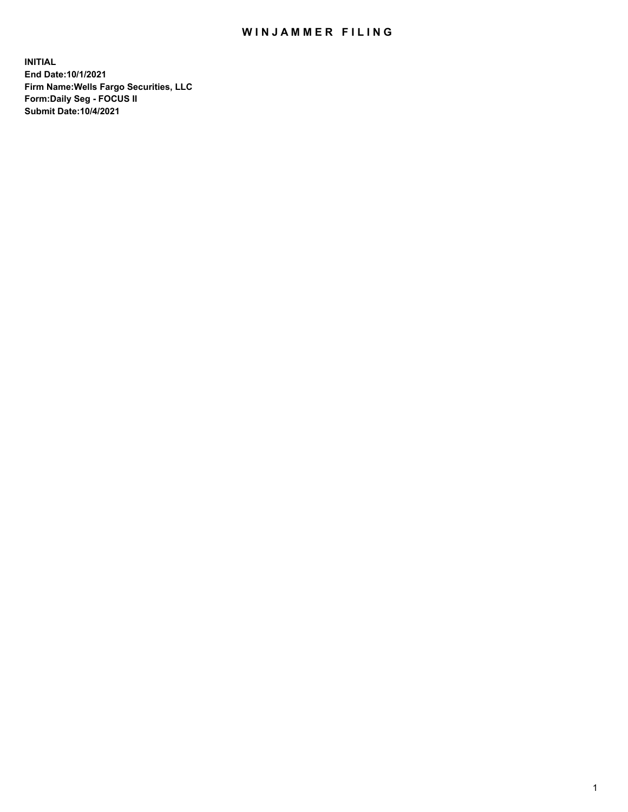## WIN JAMMER FILING

**INITIAL End Date:10/1/2021 Firm Name:Wells Fargo Securities, LLC Form:Daily Seg - FOCUS II Submit Date:10/4/2021**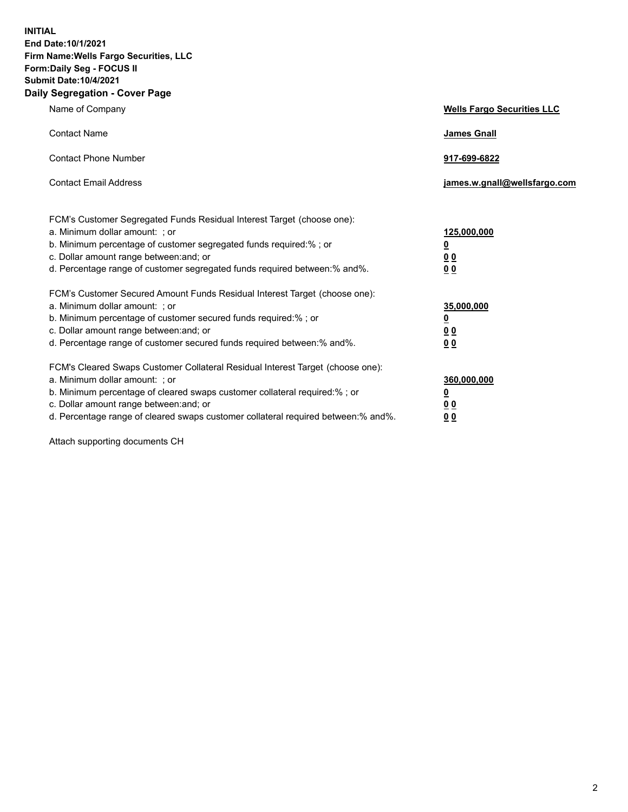**INITIAL End Date:10/1/2021 Firm Name:Wells Fargo Securities, LLC Form:Daily Seg - FOCUS II Submit Date:10/4/2021 Daily Segregation - Cover Page**

| Name of Company                                                                                                                                                                                                                                                                                                                | <b>Wells Fargo Securities LLC</b>                           |
|--------------------------------------------------------------------------------------------------------------------------------------------------------------------------------------------------------------------------------------------------------------------------------------------------------------------------------|-------------------------------------------------------------|
| <b>Contact Name</b>                                                                                                                                                                                                                                                                                                            | <b>James Gnall</b>                                          |
| <b>Contact Phone Number</b>                                                                                                                                                                                                                                                                                                    | 917-699-6822                                                |
| <b>Contact Email Address</b>                                                                                                                                                                                                                                                                                                   | james.w.gnall@wellsfargo.com                                |
| FCM's Customer Segregated Funds Residual Interest Target (choose one):<br>a. Minimum dollar amount: ; or<br>b. Minimum percentage of customer segregated funds required:% ; or<br>c. Dollar amount range between: and; or<br>d. Percentage range of customer segregated funds required between:% and%.                         | 125,000,000<br><u>0</u><br>0 <sub>0</sub><br>0 <sub>0</sub> |
| FCM's Customer Secured Amount Funds Residual Interest Target (choose one):<br>a. Minimum dollar amount: ; or<br>b. Minimum percentage of customer secured funds required:%; or<br>c. Dollar amount range between: and; or<br>d. Percentage range of customer secured funds required between:% and%.                            | 35,000,000<br><u>0</u><br>00<br>0 <sub>0</sub>              |
| FCM's Cleared Swaps Customer Collateral Residual Interest Target (choose one):<br>a. Minimum dollar amount: ; or<br>b. Minimum percentage of cleared swaps customer collateral required:% ; or<br>c. Dollar amount range between: and; or<br>d. Percentage range of cleared swaps customer collateral required between:% and%. | 360,000,000<br><u>0</u><br>0 <sub>0</sub><br>0 <sub>0</sub> |

Attach supporting documents CH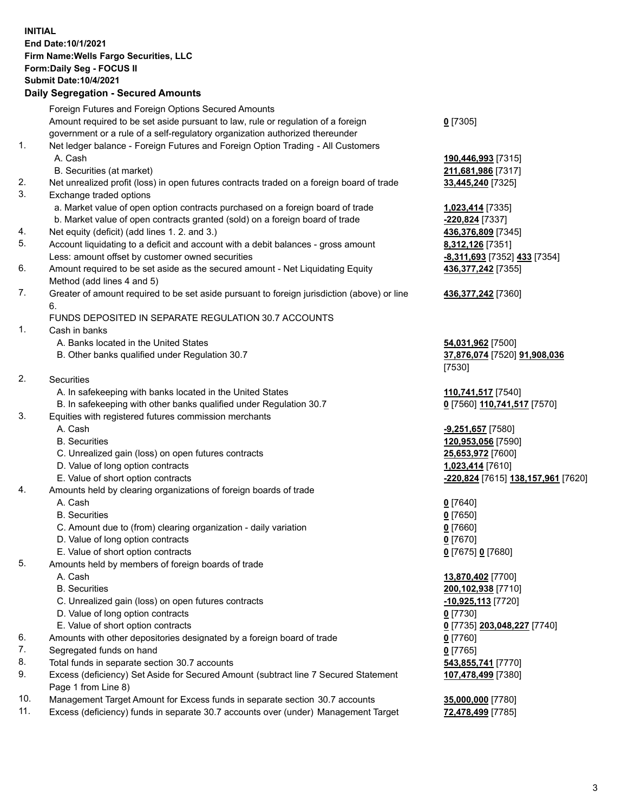**INITIAL End Date:10/1/2021 Firm Name:Wells Fargo Securities, LLC Form:Daily Seg - FOCUS II Submit Date:10/4/2021**

## **Daily Segregation - Secured Amounts**

|                               | Foreign Futures and Foreign Options Secured Amounts                                         |                                    |
|-------------------------------|---------------------------------------------------------------------------------------------|------------------------------------|
|                               | Amount required to be set aside pursuant to law, rule or regulation of a foreign            | $0$ [7305]                         |
|                               | government or a rule of a self-regulatory organization authorized thereunder                |                                    |
| 1.                            | Net ledger balance - Foreign Futures and Foreign Option Trading - All Customers             |                                    |
|                               | A. Cash                                                                                     | 190,446,993 [7315]                 |
|                               | B. Securities (at market)                                                                   | 211,681,986 [7317]                 |
| 2.                            | Net unrealized profit (loss) in open futures contracts traded on a foreign board of trade   | 33,445,240 [7325]                  |
| 3.                            | Exchange traded options                                                                     |                                    |
|                               | a. Market value of open option contracts purchased on a foreign board of trade              | 1,023,414 [7335]                   |
|                               | b. Market value of open contracts granted (sold) on a foreign board of trade                | -220,824 [7337]                    |
| 4.                            | Net equity (deficit) (add lines 1. 2. and 3.)                                               | 436,376,809 [7345]                 |
| 5.                            | Account liquidating to a deficit and account with a debit balances - gross amount           | 8,312,126 [7351]                   |
|                               | Less: amount offset by customer owned securities                                            | -8,311,693 [7352] 433 [7354]       |
| 6.                            | Amount required to be set aside as the secured amount - Net Liquidating Equity              | 436,377,242 [7355]                 |
|                               | Method (add lines 4 and 5)                                                                  |                                    |
| 7.                            | Greater of amount required to be set aside pursuant to foreign jurisdiction (above) or line | 436, 377, 242 [7360]               |
|                               | 6.                                                                                          |                                    |
|                               | FUNDS DEPOSITED IN SEPARATE REGULATION 30.7 ACCOUNTS                                        |                                    |
| 1.                            | Cash in banks                                                                               |                                    |
|                               | A. Banks located in the United States                                                       | 54,031,962 [7500]                  |
|                               | B. Other banks qualified under Regulation 30.7                                              | 37,876,074 [7520] 91,908,036       |
|                               |                                                                                             | [7530]                             |
| 2.                            | <b>Securities</b>                                                                           |                                    |
|                               | A. In safekeeping with banks located in the United States                                   | 110,741,517 [7540]                 |
|                               | B. In safekeeping with other banks qualified under Regulation 30.7                          | 0 [7560] 110,741,517 [7570]        |
| 3.                            | Equities with registered futures commission merchants                                       |                                    |
|                               | A. Cash                                                                                     | <b>-9,251,657</b> [7580]           |
|                               | <b>B.</b> Securities                                                                        | 120,953,056 [7590]                 |
|                               | C. Unrealized gain (loss) on open futures contracts                                         | 25,653,972 [7600]                  |
|                               | D. Value of long option contracts                                                           | 1,023,414 [7610]                   |
|                               | E. Value of short option contracts                                                          | -220,824 [7615] 138,157,961 [7620] |
| 4.                            | Amounts held by clearing organizations of foreign boards of trade                           |                                    |
|                               | A. Cash                                                                                     | $0$ [7640]                         |
|                               | <b>B.</b> Securities                                                                        | $0$ [7650]                         |
|                               | C. Amount due to (from) clearing organization - daily variation                             | $0$ [7660]                         |
|                               | D. Value of long option contracts                                                           | $0$ [7670]                         |
|                               | E. Value of short option contracts                                                          | 0 [7675] 0 [7680]                  |
| 5.                            | Amounts held by members of foreign boards of trade                                          |                                    |
|                               | A. Cash                                                                                     | 13,870,402 [7700]                  |
|                               | <b>B.</b> Securities                                                                        | 200,102,938 [7710]                 |
|                               | C. Unrealized gain (loss) on open futures contracts                                         | $-10,925,113$ [7720]               |
|                               | D. Value of long option contracts                                                           | $0$ [7730]                         |
|                               | E. Value of short option contracts                                                          | 0 [7735] 203,048,227 [7740]        |
| 6.                            | Amounts with other depositories designated by a foreign board of trade                      | 0 [7760]                           |
| 7.                            | Segregated funds on hand                                                                    | $0$ [7765]                         |
| 8.                            | Total funds in separate section 30.7 accounts                                               | 543,855,741 [7770]                 |
| 9.                            | Excess (deficiency) Set Aside for Secured Amount (subtract line 7 Secured Statement         | 107,478,499 [7380]                 |
|                               | Page 1 from Line 8)                                                                         |                                    |
| $\overline{A}$ $\overline{C}$ |                                                                                             |                                    |

- 10. Management Target Amount for Excess funds in separate section 30.7 accounts **35,000,000** [7780]
- 11. Excess (deficiency) funds in separate 30.7 accounts over (under) Management Target **72,478,499** [7785]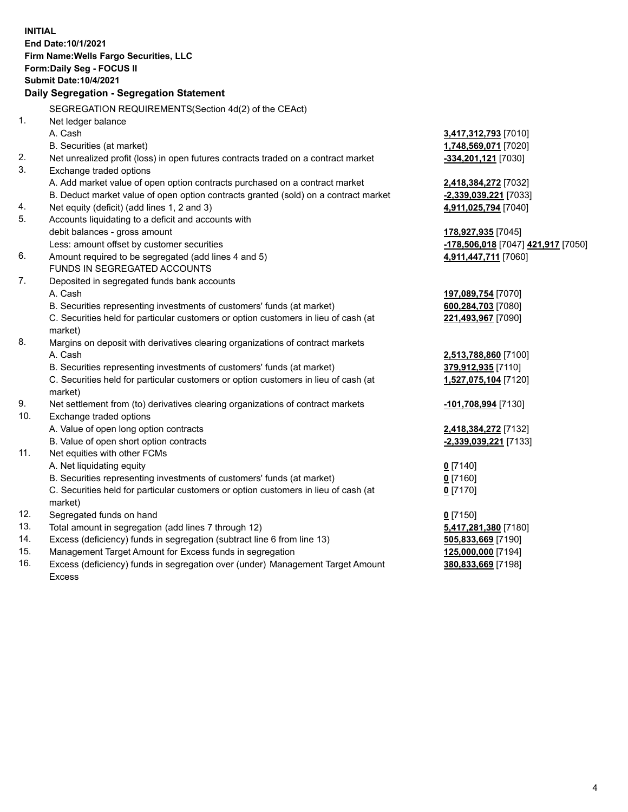**INITIAL End Date:10/1/2021 Firm Name:Wells Fargo Securities, LLC Form:Daily Seg - FOCUS II Submit Date:10/4/2021 Daily Segregation - Segregation Statement** SEGREGATION REQUIREMENTS(Section 4d(2) of the CEAct) 1. Net ledger balance A. Cash **3,417,312,793** [7010] B. Securities (at market) **1,748,569,071** [7020] 2. Net unrealized profit (loss) in open futures contracts traded on a contract market **-334,201,121** [7030] 3. Exchange traded options A. Add market value of open option contracts purchased on a contract market **2,418,384,272** [7032] B. Deduct market value of open option contracts granted (sold) on a contract market **-2,339,039,221** [7033] 4. Net equity (deficit) (add lines 1, 2 and 3) **4,911,025,794** [7040] 5. Accounts liquidating to a deficit and accounts with debit balances - gross amount **178,927,935** [7045] Less: amount offset by customer securities **-178,506,018** [7047] **421,917** [7050] 6. Amount required to be segregated (add lines 4 and 5) **4,911,447,711** [7060] FUNDS IN SEGREGATED ACCOUNTS 7. Deposited in segregated funds bank accounts A. Cash **197,089,754** [7070] B. Securities representing investments of customers' funds (at market) **600,284,703** [7080] C. Securities held for particular customers or option customers in lieu of cash (at market) **221,493,967** [7090] 8. Margins on deposit with derivatives clearing organizations of contract markets A. Cash **2,513,788,860** [7100] B. Securities representing investments of customers' funds (at market) **379,912,935** [7110] C. Securities held for particular customers or option customers in lieu of cash (at market) **1,527,075,104** [7120] 9. Net settlement from (to) derivatives clearing organizations of contract markets **-101,708,994** [7130] 10. Exchange traded options A. Value of open long option contracts **2,418,384,272** [7132] B. Value of open short option contracts **-2,339,039,221** [7133] 11. Net equities with other FCMs A. Net liquidating equity **0** [7140] B. Securities representing investments of customers' funds (at market) **0** [7160] C. Securities held for particular customers or option customers in lieu of cash (at market) **0** [7170] 12. Segregated funds on hand **0** [7150] 13. Total amount in segregation (add lines 7 through 12) **5,417,281,380** [7180]

- 14. Excess (deficiency) funds in segregation (subtract line 6 from line 13) **505,833,669** [7190]
- 15. Management Target Amount for Excess funds in segregation **125,000,000** [7194]
- 16. Excess (deficiency) funds in segregation over (under) Management Target Amount Excess

**380,833,669** [7198]